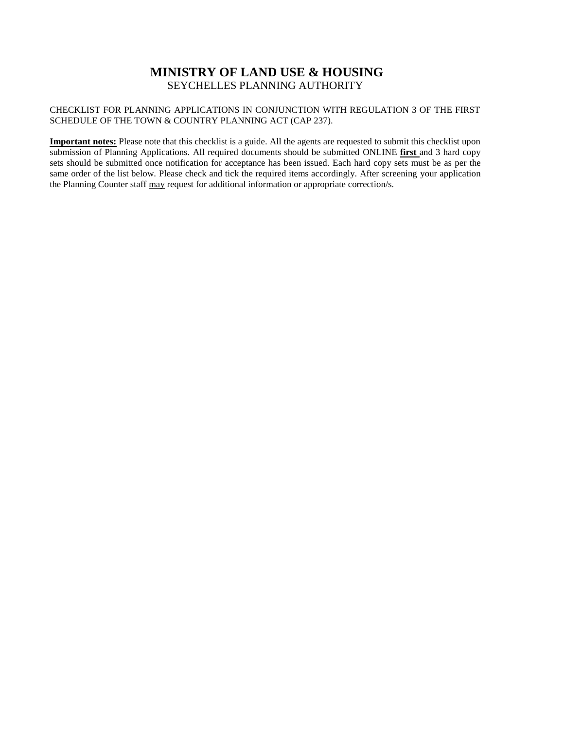## **MINISTRY OF LAND USE & HOUSING** SEYCHELLES PLANNING AUTHORITY

## CHECKLIST FOR PLANNING APPLICATIONS IN CONJUNCTION WITH REGULATION 3 OF THE FIRST SCHEDULE OF THE TOWN & COUNTRY PLANNING ACT (CAP 237).

**Important notes:** Please note that this checklist is a guide. All the agents are requested to submit this checklist upon submission of Planning Applications. All required documents should be submitted ONLINE **first** and 3 hard copy sets should be submitted once notification for acceptance has been issued. Each hard copy sets must be as per the same order of the list below. Please check and tick the required items accordingly. After screening your application the Planning Counter staff may request for additional information or appropriate correction/s.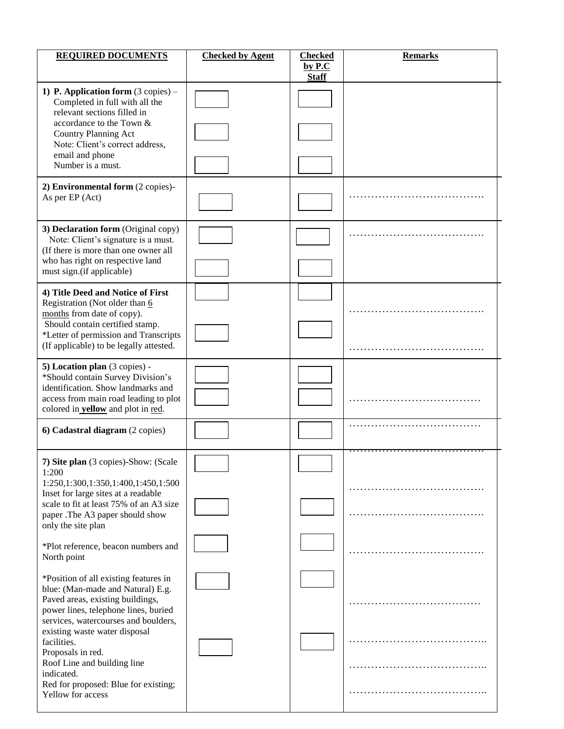| <b>REQUIRED DOCUMENTS</b>                                                                                                                                     | <b>Checked by Agent</b> | <b>Checked</b><br>by P.C | <b>Remarks</b> |
|---------------------------------------------------------------------------------------------------------------------------------------------------------------|-------------------------|--------------------------|----------------|
|                                                                                                                                                               |                         | <b>Staff</b>             |                |
| 1) P. Application form $(3 \text{ copies}) -$<br>Completed in full with all the<br>relevant sections filled in                                                |                         |                          |                |
| accordance to the Town &<br><b>Country Planning Act</b><br>Note: Client's correct address,<br>email and phone                                                 |                         |                          |                |
| Number is a must.                                                                                                                                             |                         |                          |                |
| 2) Environmental form (2 copies)-<br>As per EP (Act)                                                                                                          |                         |                          |                |
| 3) Declaration form (Original copy)<br>Note: Client's signature is a must.<br>(If there is more than one owner all                                            |                         |                          |                |
| who has right on respective land<br>must sign.(if applicable)                                                                                                 |                         |                          |                |
| 4) Title Deed and Notice of First<br>Registration (Not older than 6                                                                                           |                         |                          |                |
| months from date of copy).<br>Should contain certified stamp.<br>*Letter of permission and Transcripts<br>(If applicable) to be legally attested.             |                         |                          |                |
| 5) Location plan (3 copies) -                                                                                                                                 |                         |                          |                |
| *Should contain Survey Division's<br>identification. Show landmarks and<br>access from main road leading to plot<br>colored in <b>yellow</b> and plot in red. |                         |                          |                |
| 6) Cadastral diagram (2 copies)                                                                                                                               |                         |                          |                |
| 7) Site plan (3 copies)-Show: (Scale<br>1:200                                                                                                                 |                         |                          |                |
| 1:250,1:300,1:350,1:400,1:450,1:500<br>Inset for large sites at a readable<br>scale to fit at least 75% of an A3 size<br>paper .The A3 paper should show      |                         |                          |                |
| only the site plan                                                                                                                                            |                         |                          |                |
| *Plot reference, beacon numbers and<br>North point                                                                                                            |                         |                          |                |
| *Position of all existing features in<br>blue: (Man-made and Natural) E.g.<br>Paved areas, existing buildings,<br>power lines, telephone lines, buried        |                         |                          |                |
| services, watercourses and boulders,<br>existing waste water disposal<br>facilities.<br>Proposals in red.                                                     |                         |                          |                |
| Roof Line and building line<br>indicated.                                                                                                                     |                         |                          |                |
| Red for proposed: Blue for existing;<br>Yellow for access                                                                                                     |                         |                          |                |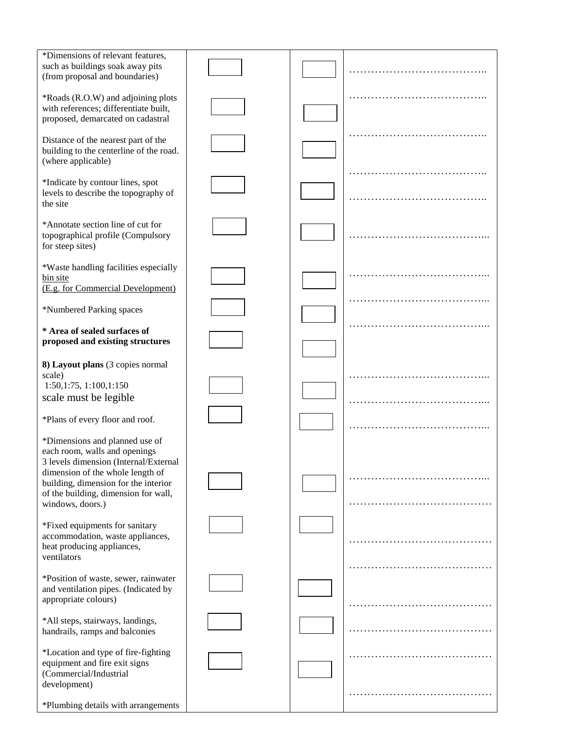| *Dimensions of relevant features,<br>such as buildings soak away pits<br>(from proposal and boundaries)                                                                                                                                          |  |   |
|--------------------------------------------------------------------------------------------------------------------------------------------------------------------------------------------------------------------------------------------------|--|---|
| *Roads (R.O.W) and adjoining plots<br>with references; differentiate built,<br>proposed, demarcated on cadastral                                                                                                                                 |  |   |
| Distance of the nearest part of the<br>building to the centerline of the road.<br>(where applicable)                                                                                                                                             |  |   |
| *Indicate by contour lines, spot<br>levels to describe the topography of<br>the site                                                                                                                                                             |  |   |
| *Annotate section line of cut for<br>topographical profile (Compulsory<br>for steep sites)                                                                                                                                                       |  |   |
| *Waste handling facilities especially<br>bin site<br>(E.g. for Commercial Development)                                                                                                                                                           |  |   |
| *Numbered Parking spaces                                                                                                                                                                                                                         |  |   |
| * Area of sealed surfaces of<br>proposed and existing structures                                                                                                                                                                                 |  |   |
| 8) Layout plans (3 copies normal<br>scale)<br>1:50,1:75, 1:100,1:150<br>scale must be legible<br>*Plans of every floor and roof.                                                                                                                 |  | . |
| *Dimensions and planned use of<br>each room, walls and openings<br>3 levels dimension (Internal/External<br>dimension of the whole length of<br>building, dimension for the interior<br>of the building, dimension for wall,<br>windows, doors.) |  |   |
| *Fixed equipments for sanitary<br>accommodation, waste appliances,<br>heat producing appliances,<br>ventilators                                                                                                                                  |  |   |
| *Position of waste, sewer, rainwater<br>and ventilation pipes. (Indicated by<br>appropriate colours)                                                                                                                                             |  |   |
| *All steps, stairways, landings,<br>handrails, ramps and balconies                                                                                                                                                                               |  |   |
| *Location and type of fire-fighting<br>equipment and fire exit signs<br>(Commercial/Industrial<br>development)                                                                                                                                   |  |   |
| *Plumbing details with arrangements                                                                                                                                                                                                              |  |   |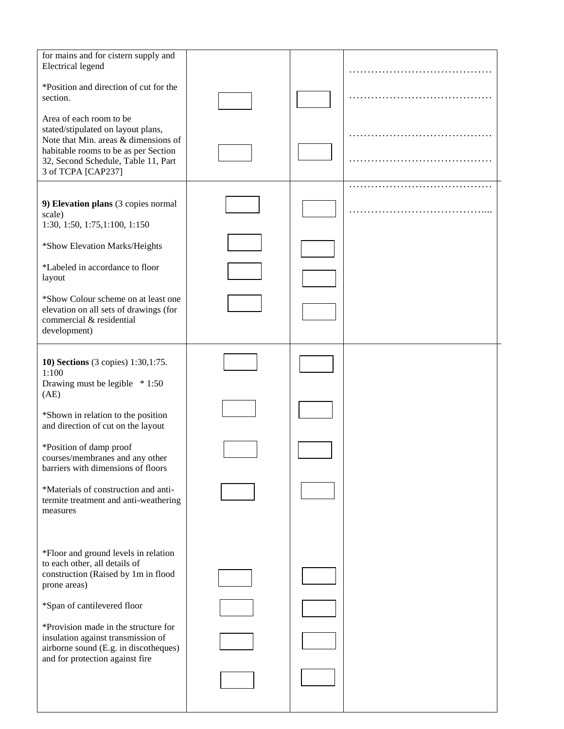| *Position and direction of cut for the<br>section.<br>Area of each room to be<br>stated/stipulated on layout plans,<br>Note that Min. areas & dimensions of<br>habitable rooms to be as per Section<br>32, Second Schedule, Table 11, Part<br>3 of TCPA [CAP237]<br>9) Elevation plans (3 copies normal<br>scale)<br>1:30, 1:50, 1:75, 1:100, 1:150<br>*Show Elevation Marks/Heights<br>*Labeled in accordance to floor<br>layout<br>*Show Colour scheme on at least one<br>elevation on all sets of drawings (for<br>commercial & residential<br>development)<br>10) Sections (3 copies) 1:30,1:75.<br>1:100<br>Drawing must be legible * 1:50<br>(AE)<br>*Shown in relation to the position<br>and direction of cut on the layout<br>*Position of damp proof<br>courses/membranes and any other<br>barriers with dimensions of floors<br>*Materials of construction and anti-<br>termite treatment and anti-weathering<br>measures<br>*Floor and ground levels in relation<br>to each other, all details of<br>construction (Raised by 1m in flood<br>prone areas) |  |  | for mains and for cistern supply and<br>Electrical legend |
|----------------------------------------------------------------------------------------------------------------------------------------------------------------------------------------------------------------------------------------------------------------------------------------------------------------------------------------------------------------------------------------------------------------------------------------------------------------------------------------------------------------------------------------------------------------------------------------------------------------------------------------------------------------------------------------------------------------------------------------------------------------------------------------------------------------------------------------------------------------------------------------------------------------------------------------------------------------------------------------------------------------------------------------------------------------------|--|--|-----------------------------------------------------------|
|                                                                                                                                                                                                                                                                                                                                                                                                                                                                                                                                                                                                                                                                                                                                                                                                                                                                                                                                                                                                                                                                      |  |  |                                                           |
|                                                                                                                                                                                                                                                                                                                                                                                                                                                                                                                                                                                                                                                                                                                                                                                                                                                                                                                                                                                                                                                                      |  |  |                                                           |
|                                                                                                                                                                                                                                                                                                                                                                                                                                                                                                                                                                                                                                                                                                                                                                                                                                                                                                                                                                                                                                                                      |  |  |                                                           |
|                                                                                                                                                                                                                                                                                                                                                                                                                                                                                                                                                                                                                                                                                                                                                                                                                                                                                                                                                                                                                                                                      |  |  |                                                           |
|                                                                                                                                                                                                                                                                                                                                                                                                                                                                                                                                                                                                                                                                                                                                                                                                                                                                                                                                                                                                                                                                      |  |  |                                                           |
|                                                                                                                                                                                                                                                                                                                                                                                                                                                                                                                                                                                                                                                                                                                                                                                                                                                                                                                                                                                                                                                                      |  |  |                                                           |
|                                                                                                                                                                                                                                                                                                                                                                                                                                                                                                                                                                                                                                                                                                                                                                                                                                                                                                                                                                                                                                                                      |  |  |                                                           |
|                                                                                                                                                                                                                                                                                                                                                                                                                                                                                                                                                                                                                                                                                                                                                                                                                                                                                                                                                                                                                                                                      |  |  |                                                           |
|                                                                                                                                                                                                                                                                                                                                                                                                                                                                                                                                                                                                                                                                                                                                                                                                                                                                                                                                                                                                                                                                      |  |  |                                                           |
|                                                                                                                                                                                                                                                                                                                                                                                                                                                                                                                                                                                                                                                                                                                                                                                                                                                                                                                                                                                                                                                                      |  |  |                                                           |
|                                                                                                                                                                                                                                                                                                                                                                                                                                                                                                                                                                                                                                                                                                                                                                                                                                                                                                                                                                                                                                                                      |  |  |                                                           |
|                                                                                                                                                                                                                                                                                                                                                                                                                                                                                                                                                                                                                                                                                                                                                                                                                                                                                                                                                                                                                                                                      |  |  |                                                           |
|                                                                                                                                                                                                                                                                                                                                                                                                                                                                                                                                                                                                                                                                                                                                                                                                                                                                                                                                                                                                                                                                      |  |  |                                                           |
|                                                                                                                                                                                                                                                                                                                                                                                                                                                                                                                                                                                                                                                                                                                                                                                                                                                                                                                                                                                                                                                                      |  |  |                                                           |
| *Span of cantilevered floor                                                                                                                                                                                                                                                                                                                                                                                                                                                                                                                                                                                                                                                                                                                                                                                                                                                                                                                                                                                                                                          |  |  |                                                           |
| *Provision made in the structure for<br>insulation against transmission of<br>airborne sound (E.g. in discotheques)<br>and for protection against fire                                                                                                                                                                                                                                                                                                                                                                                                                                                                                                                                                                                                                                                                                                                                                                                                                                                                                                               |  |  |                                                           |
|                                                                                                                                                                                                                                                                                                                                                                                                                                                                                                                                                                                                                                                                                                                                                                                                                                                                                                                                                                                                                                                                      |  |  |                                                           |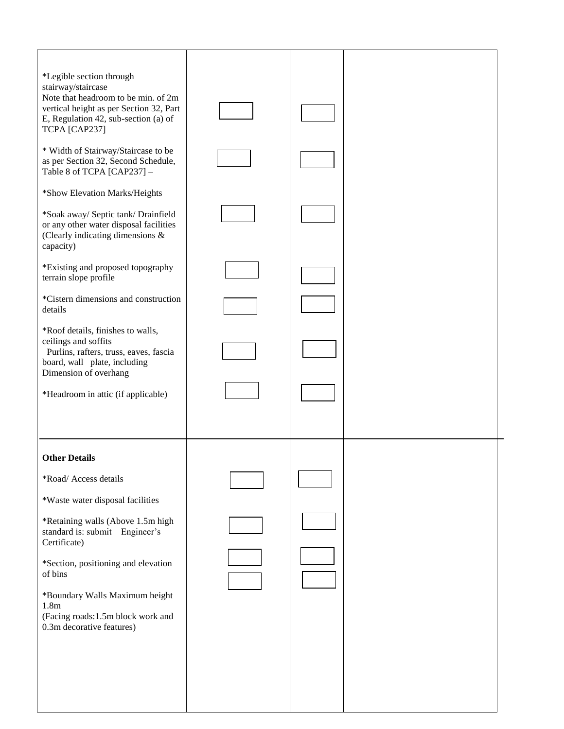| *Legible section through<br>stairway/staircase                                 |  |  |
|--------------------------------------------------------------------------------|--|--|
| Note that headroom to be min. of 2m<br>vertical height as per Section 32, Part |  |  |
| E, Regulation 42, sub-section (a) of                                           |  |  |
| TCPA [CAP237]                                                                  |  |  |
| * Width of Stairway/Staircase to be<br>as per Section 32, Second Schedule,     |  |  |
| Table 8 of TCPA [CAP237] -                                                     |  |  |
| *Show Elevation Marks/Heights                                                  |  |  |
| *Soak away/ Septic tank/ Drainfield                                            |  |  |
| or any other water disposal facilities<br>(Clearly indicating dimensions &     |  |  |
| capacity)                                                                      |  |  |
| *Existing and proposed topography                                              |  |  |
| terrain slope profile                                                          |  |  |
| *Cistern dimensions and construction<br>details                                |  |  |
| *Roof details, finishes to walls,                                              |  |  |
| ceilings and soffits                                                           |  |  |
| Purlins, rafters, truss, eaves, fascia<br>board, wall plate, including         |  |  |
| Dimension of overhang                                                          |  |  |
| *Headroom in attic (if applicable)                                             |  |  |
|                                                                                |  |  |
|                                                                                |  |  |
| <b>Other Details</b>                                                           |  |  |
| *Road/ Access details                                                          |  |  |
| *Waste water disposal facilities                                               |  |  |
| *Retaining walls (Above 1.5m high                                              |  |  |
| standard is: submit Engineer's<br>Certificate)                                 |  |  |
|                                                                                |  |  |
| *Section, positioning and elevation<br>of bins                                 |  |  |
| *Boundary Walls Maximum height                                                 |  |  |
| 1.8 <sub>m</sub><br>(Facing roads:1.5m block work and                          |  |  |
| 0.3m decorative features)                                                      |  |  |
|                                                                                |  |  |
|                                                                                |  |  |
|                                                                                |  |  |
|                                                                                |  |  |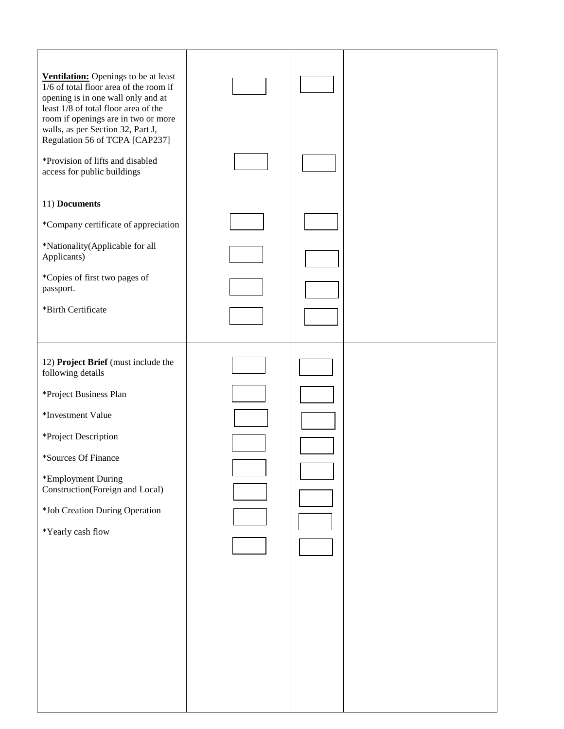| Ventilation: Openings to be at least<br>1/6 of total floor area of the room if<br>opening is in one wall only and at<br>least 1/8 of total floor area of the<br>room if openings are in two or more |  |  |
|-----------------------------------------------------------------------------------------------------------------------------------------------------------------------------------------------------|--|--|
| walls, as per Section 32, Part J,<br>Regulation 56 of TCPA [CAP237]<br>*Provision of lifts and disabled<br>access for public buildings                                                              |  |  |
| 11) Documents                                                                                                                                                                                       |  |  |
| *Company certificate of appreciation                                                                                                                                                                |  |  |
| *Nationality(Applicable for all<br>Applicants)                                                                                                                                                      |  |  |
| *Copies of first two pages of<br>passport.                                                                                                                                                          |  |  |
| *Birth Certificate                                                                                                                                                                                  |  |  |
|                                                                                                                                                                                                     |  |  |
| 12) Project Brief (must include the<br>following details                                                                                                                                            |  |  |
| *Project Business Plan                                                                                                                                                                              |  |  |
| *Investment Value                                                                                                                                                                                   |  |  |
| *Project Description                                                                                                                                                                                |  |  |
| *Sources Of Finance                                                                                                                                                                                 |  |  |
| *Employment During<br>Construction(Foreign and Local)                                                                                                                                               |  |  |
| *Job Creation During Operation                                                                                                                                                                      |  |  |
| *Yearly cash flow                                                                                                                                                                                   |  |  |
|                                                                                                                                                                                                     |  |  |
|                                                                                                                                                                                                     |  |  |
|                                                                                                                                                                                                     |  |  |
|                                                                                                                                                                                                     |  |  |
|                                                                                                                                                                                                     |  |  |
|                                                                                                                                                                                                     |  |  |
|                                                                                                                                                                                                     |  |  |
|                                                                                                                                                                                                     |  |  |